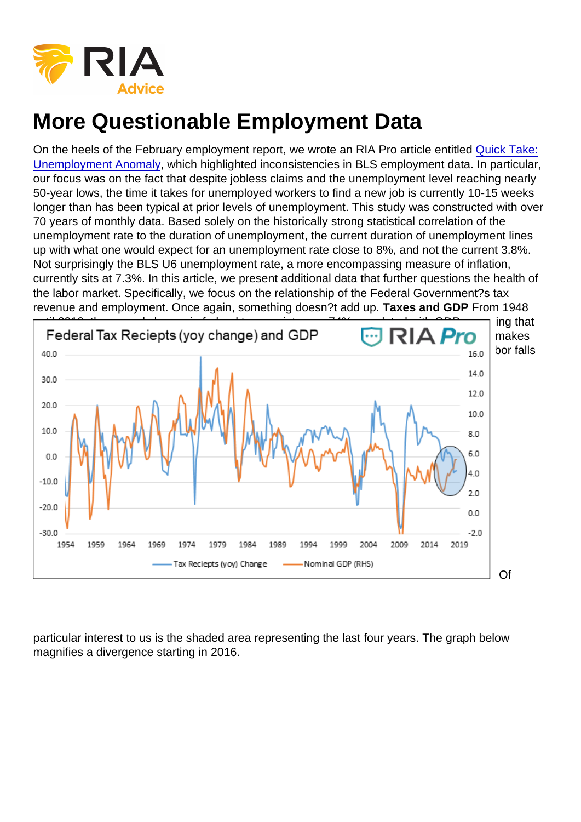On the heels of the February employment report, we wrote an RIA Pro article entitled [Quick Take:](https://realinvestmentadvice.com/quick-take-unemployment-anomaly/) [Unemployment Anomaly,](https://realinvestmentadvice.com/quick-take-unemployment-anomaly/) which highlighted inconsistencies in BLS employment data. In particular, our focus was on the fact that despite jobless claims and the unemployment level reaching nearly 50-year lows, the time it takes for unemployed workers to find a new job is currently 10-15 weeks longer than has been typical at prior levels of unemployment. This study was constructed with over 70 years of monthly data. Based solely on the historically strong statistical correlation of the unemployment rate to the duration of unemployment, the current duration of unemployment lines up with what one would expect for an unemployment rate close to 8%, and not the current 3.8%. Not surprisingly the BLS U6 unemployment rate, a more encompassing measure of inflation, currently sits at 7.3%. In this article, we present additional data that further questions the health of the labor market. Specifically, we focus on the relationship of the Federal Government?s tax revenue and employment. Once again, something doesn?t add up. Taxes and GDP From 1948 until 2010, the annual change in federal tax receipts was 74% correlated with GDP, meaning that 74% of the changes in tax receipts is attributable to the change in economic growth. This makes perfect sense given that during stronger economic periods, wages rise as the supply of labor falls and vice versa. The graph below highlights the relationship.

Of

particular interest to us is the shaded area representing the last four years. The graph below magnifies a divergence starting in 2016.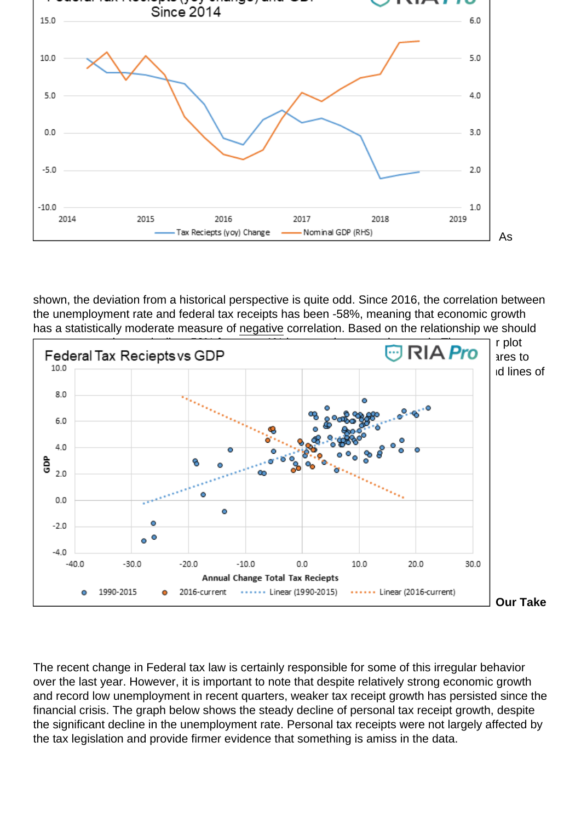

shown, the deviation from a historical perspective is quite odd. Since 2016, the correlation between the unemployment rate and federal tax receipts has been -58%, meaning that economic growth has a statistically moderate measure of negative correlation. Based on the relationship we should



The recent change in Federal tax law is certainly responsible for some of this irregular behavior over the last year. However, it is important to note that despite relatively strong economic growth and record low unemployment in recent quarters, weaker tax receipt growth has persisted since the financial crisis. The graph below shows the steady decline of personal tax receipt growth, despite the significant decline in the unemployment rate. Personal tax receipts were not largely affected by the tax legislation and provide firmer evidence that something is amiss in the data.